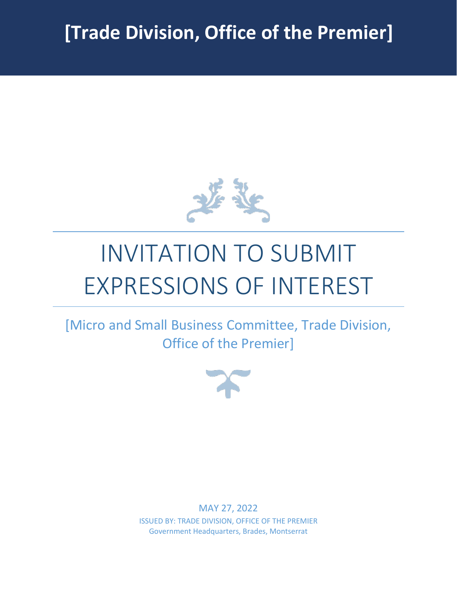

# INVITATION TO SUBMIT EXPRESSIONS OF INTEREST

[Micro and Small Business Committee, Trade Division, Office of the Premier]



MAY 27, 2022 ISSUED BY: TRADE DIVISION, OFFICE OF THE PREMIER Government Headquarters, Brades, Montserrat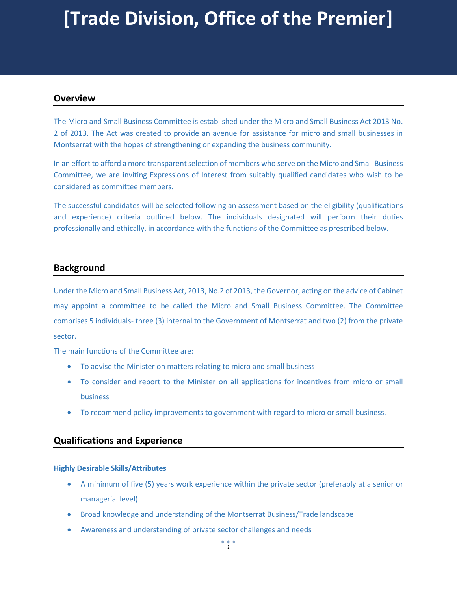# **[Trade Division, Office of the Premier]**

## **Overview**

The Micro and Small Business Committee is established under the Micro and Small Business Act 2013 No. 2 of 2013. The Act was created to provide an avenue for assistance for micro and small businesses in Montserrat with the hopes of strengthening or expanding the business community.

In an effort to afford a more transparent selection of members who serve on the Micro and Small Business Committee, we are inviting Expressions of Interest from suitably qualified candidates who wish to be considered as committee members.

The successful candidates will be selected following an assessment based on the eligibility (qualifications and experience) criteria outlined below. The individuals designated will perform their duties professionally and ethically, in accordance with the functions of the Committee as prescribed below.

# **Background**

Under the Micro and Small Business Act, 2013, No.2 of 2013, the Governor, acting on the advice of Cabinet may appoint a committee to be called the Micro and Small Business Committee. The Committee comprises 5 individuals- three (3) internal to the Government of Montserrat and two (2) from the private sector.

The main functions of the Committee are:

- To advise the Minister on matters relating to micro and small business
- To consider and report to the Minister on all applications for incentives from micro or small business
- To recommend policy improvements to government with regard to micro or small business.

## **Qualifications and Experience**

#### **Highly Desirable Skills/Attributes**

- A minimum of five (5) years work experience within the private sector (preferably at a senior or managerial level)
- Broad knowledge and understanding of the Montserrat Business/Trade landscape
- Awareness and understanding of private sector challenges and needs